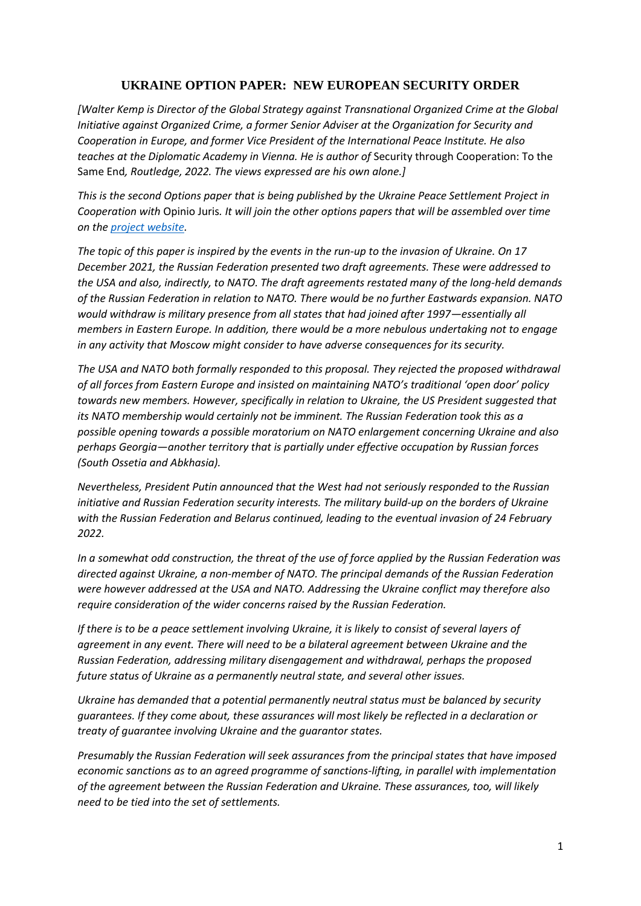# **UKRAINE OPTION PAPER: NEW EUROPEAN SECURITY ORDER**

*[Walter Kemp is Director of the Global Strategy against Transnational Organized Crime at the Global Initiative against Organized Crime, a former Senior Adviser at the Organization for Security and Cooperation in Europe, and former Vice President of the International Peace Institute. He also teaches at the Diplomatic Academy in Vienna. He is author of* Security through Cooperation: To the Same End*, Routledge, 2022. The views expressed are his own alone.]*

*This is the second Options paper that is being published by the Ukraine Peace Settlement Project in Cooperation with* Opinio Juris*. It will join the other options papers that will be assembled over time on the [project website.](https://www.lcil.cam.ac.uk/researchcollaborative-projects-housed-lcil/ukraine-peace-settlement-project)*

*The topic of this paper is inspired by the events in the run-up to the invasion of Ukraine. On 17 December 2021, the Russian Federation presented two draft agreements. These were addressed to the USA and also, indirectly, to NATO. The draft agreements restated many of the long-held demands of the Russian Federation in relation to NATO. There would be no further Eastwards expansion. NATO would withdraw is military presence from all states that had joined after 1997—essentially all members in Eastern Europe. In addition, there would be a more nebulous undertaking not to engage in any activity that Moscow might consider to have adverse consequences for its security.*

*The USA and NATO both formally responded to this proposal. They rejected the proposed withdrawal of all forces from Eastern Europe and insisted on maintaining NATO's traditional 'open door' policy towards new members. However, specifically in relation to Ukraine, the US President suggested that its NATO membership would certainly not be imminent. The Russian Federation took this as a possible opening towards a possible moratorium on NATO enlargement concerning Ukraine and also perhaps Georgia—another territory that is partially under effective occupation by Russian forces (South Ossetia and Abkhasia).*

*Nevertheless, President Putin announced that the West had not seriously responded to the Russian initiative and Russian Federation security interests. The military build-up on the borders of Ukraine with the Russian Federation and Belarus continued, leading to the eventual invasion of 24 February 2022.*

*In a somewhat odd construction, the threat of the use of force applied by the Russian Federation was directed against Ukraine, a non-member of NATO. The principal demands of the Russian Federation were however addressed at the USA and NATO. Addressing the Ukraine conflict may therefore also require consideration of the wider concerns raised by the Russian Federation.*

*If there is to be a peace settlement involving Ukraine, it is likely to consist of several layers of agreement in any event. There will need to be a bilateral agreement between Ukraine and the Russian Federation, addressing military disengagement and withdrawal, perhaps the proposed future status of Ukraine as a permanently neutral state, and several other issues.*

*Ukraine has demanded that a potential permanently neutral status must be balanced by security guarantees. If they come about, these assurances will most likely be reflected in a declaration or treaty of guarantee involving Ukraine and the guarantor states.*

*Presumably the Russian Federation will seek assurances from the principal states that have imposed economic sanctions as to an agreed programme of sanctions-lifting, in parallel with implementation of the agreement between the Russian Federation and Ukraine. These assurances, too, will likely need to be tied into the set of settlements.*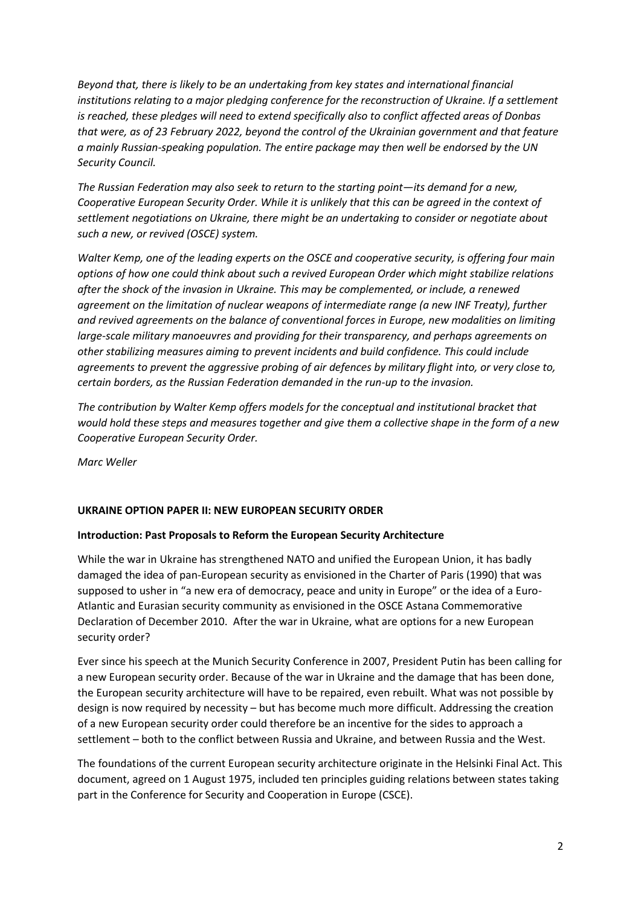*Beyond that, there is likely to be an undertaking from key states and international financial*  institutions relating to a major pledging conference for the reconstruction of Ukraine. If a settlement *is reached, these pledges will need to extend specifically also to conflict affected areas of Donbas that were, as of 23 February 2022, beyond the control of the Ukrainian government and that feature a mainly Russian-speaking population. The entire package may then well be endorsed by the UN Security Council.*

*The Russian Federation may also seek to return to the starting point—its demand for a new, Cooperative European Security Order. While it is unlikely that this can be agreed in the context of settlement negotiations on Ukraine, there might be an undertaking to consider or negotiate about such a new, or revived (OSCE) system.*

*Walter Kemp, one of the leading experts on the OSCE and cooperative security, is offering four main options of how one could think about such a revived European Order which might stabilize relations after the shock of the invasion in Ukraine. This may be complemented, or include, a renewed agreement on the limitation of nuclear weapons of intermediate range (a new INF Treaty), further and revived agreements on the balance of conventional forces in Europe, new modalities on limiting large-scale military manoeuvres and providing for their transparency, and perhaps agreements on other stabilizing measures aiming to prevent incidents and build confidence. This could include agreements to prevent the aggressive probing of air defences by military flight into, or very close to, certain borders, as the Russian Federation demanded in the run-up to the invasion.*

*The contribution by Walter Kemp offers models for the conceptual and institutional bracket that would hold these steps and measures together and give them a collective shape in the form of a new Cooperative European Security Order.*

*Marc Weller*

# **UKRAINE OPTION PAPER II: NEW EUROPEAN SECURITY ORDER**

# **Introduction: Past Proposals to Reform the European Security Architecture**

While the war in Ukraine has strengthened NATO and unified the European Union, it has badly damaged the idea of pan-European security as envisioned in the Charter of Paris (1990) that was supposed to usher in "a new era of democracy, peace and unity in Europe" or the idea of a Euro-Atlantic and Eurasian security community as envisioned in the OSCE Astana Commemorative Declaration of December 2010. After the war in Ukraine, what are options for a new European security order?

Ever since his speech at the Munich Security Conference in 2007, President Putin has been calling for a new European security order. Because of the war in Ukraine and the damage that has been done, the European security architecture will have to be repaired, even rebuilt. What was not possible by design is now required by necessity – but has become much more difficult. Addressing the creation of a new European security order could therefore be an incentive for the sides to approach a settlement – both to the conflict between Russia and Ukraine, and between Russia and the West.

The foundations of the current European security architecture originate in the Helsinki Final Act. This document, agreed on 1 August 1975, included ten principles guiding relations between states taking part in the Conference for Security and Cooperation in Europe (CSCE).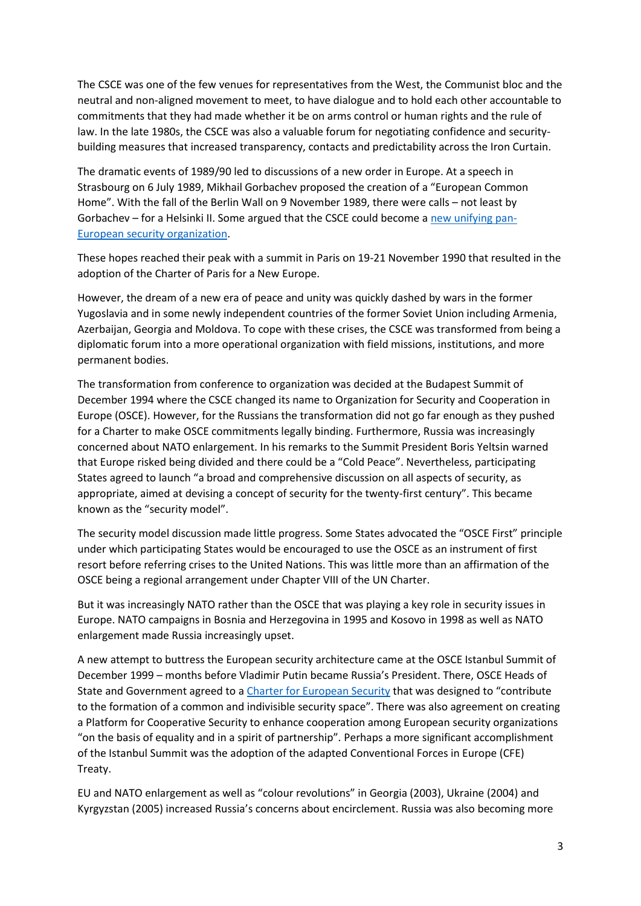The CSCE was one of the few venues for representatives from the West, the Communist bloc and the neutral and non-aligned movement to meet, to have dialogue and to hold each other accountable to commitments that they had made whether it be on arms control or human rights and the rule of law. In the late 1980s, the CSCE was also a valuable forum for negotiating confidence and securitybuilding measures that increased transparency, contacts and predictability across the Iron Curtain.

The dramatic events of 1989/90 led to discussions of a new order in Europe. At a speech in Strasbourg on 6 July 1989, Mikhail Gorbachev proposed the creation of a "European Common Home". With the fall of the Berlin Wall on 9 November 1989, there were calls – not least by Gorbachev – for a Helsinki II. Some argued that the CSCE could become a [new unifying pan-](https://osce-network.net/fileadmin/user_upload/publications/RoadtoParisCharterFINALREPORT.pdf)[European security organization.](https://osce-network.net/fileadmin/user_upload/publications/RoadtoParisCharterFINALREPORT.pdf)

These hopes reached their peak with a summit in Paris on 19-21 November 1990 that resulted in the adoption of the Charter of Paris for a New Europe.

However, the dream of a new era of peace and unity was quickly dashed by wars in the former Yugoslavia and in some newly independent countries of the former Soviet Union including Armenia, Azerbaijan, Georgia and Moldova. To cope with these crises, the CSCE was transformed from being a diplomatic forum into a more operational organization with field missions, institutions, and more permanent bodies.

The transformation from conference to organization was decided at the Budapest Summit of December 1994 where the CSCE changed its name to Organization for Security and Cooperation in Europe (OSCE). However, for the Russians the transformation did not go far enough as they pushed for a Charter to make OSCE commitments legally binding. Furthermore, Russia was increasingly concerned about NATO enlargement. In his remarks to the Summit President Boris Yeltsin warned that Europe risked being divided and there could be a "Cold Peace". Nevertheless, participating States agreed to launch "a broad and comprehensive discussion on all aspects of security, as appropriate, aimed at devising a concept of security for the twenty-first century". This became known as the "security model".

The security model discussion made little progress. Some States advocated the "OSCE First" principle under which participating States would be encouraged to use the OSCE as an instrument of first resort before referring crises to the United Nations. This was little more than an affirmation of the OSCE being a regional arrangement under Chapter VIII of the UN Charter.

But it was increasingly NATO rather than the OSCE that was playing a key role in security issues in Europe. NATO campaigns in Bosnia and Herzegovina in 1995 and Kosovo in 1998 as well as NATO enlargement made Russia increasingly upset.

A new attempt to buttress the European security architecture came at the OSCE Istanbul Summit of December 1999 – months before Vladimir Putin became Russia's President. There, OSCE Heads of State and Government agreed to a [Charter for European Security](https://www.osce.org/files/f/documents/6/5/39569.pdf) that was designed to "contribute to the formation of a common and indivisible security space". There was also agreement on creating a Platform for Cooperative Security to enhance cooperation among European security organizations "on the basis of equality and in a spirit of partnership". Perhaps a more significant accomplishment of the Istanbul Summit was the adoption of the adapted Conventional Forces in Europe (CFE) Treaty.

EU and NATO enlargement as well as "colour revolutions" in Georgia (2003), Ukraine (2004) and Kyrgyzstan (2005) increased Russia's concerns about encirclement. Russia was also becoming more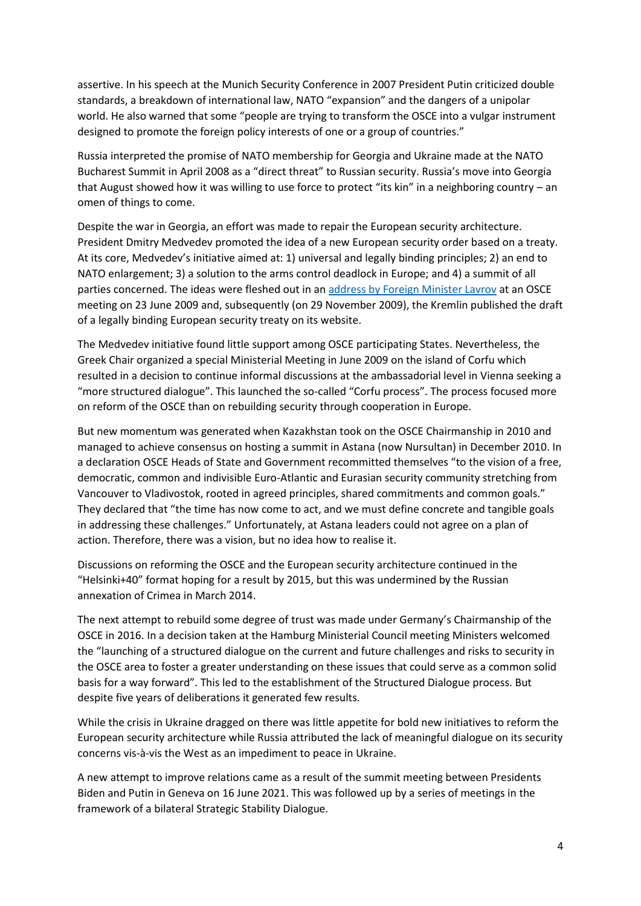assertive. In his speech at the Munich Security Conference in 2007 President Putin criticized double standards, a breakdown of international law, NATO "expansion" and the dangers of a unipolar world. He also warned that some "people are trying to transform the OSCE into a vulgar instrument designed to promote the foreign policy interests of one or a group of countries."

Russia interpreted the promise of NATO membership for Georgia and Ukraine made at the NATO Bucharest Summit in April 2008 as a "direct threat" to Russian security. Russia's move into Georgia that August showed how it was willing to use force to protect "its kin" in a neighboring country – an omen of things to come.

Despite the war in Georgia, an effort was made to repair the European security architecture. President Dmitry Medvedev promoted the idea of a new European security order based on a treaty. At its core, Medvedev's initiative aimed at: 1) universal and legally binding principles; 2) an end to NATO enlargement; 3) a solution to the arms control deadlock in Europe; and 4) a summit of all parties concerned. The ideas were fleshed out in an [address by Foreign Minister Lavrov](https://www.osce.org/files/f/documents/3/a/37721.pdf) at an OSCE meeting on 23 June 2009 and, subsequently (on 29 November 2009), the Kremlin published the draft of a legally binding European security treaty on its website.

The Medvedev initiative found little support among OSCE participating States. Nevertheless, the Greek Chair organized a special Ministerial Meeting in June 2009 on the island of Corfu which resulted in a decision to continue informal discussions at the ambassadorial level in Vienna seeking a "more structured dialogue". This launched the so-called "Corfu process". The process focused more on reform of the OSCE than on rebuilding security through cooperation in Europe.

But new momentum was generated when Kazakhstan took on the OSCE Chairmanship in 2010 and managed to achieve consensus on hosting a summit in Astana (now Nursultan) in December 2010. In a declaration OSCE Heads of State and Government recommitted themselves "to the vision of a free, democratic, common and indivisible Euro-Atlantic and Eurasian security community stretching from Vancouver to Vladivostok, rooted in agreed principles, shared commitments and common goals." They declared that "the time has now come to act, and we must define concrete and tangible goals in addressing these challenges." Unfortunately, at Astana leaders could not agree on a plan of action. Therefore, there was a vision, but no idea how to realise it.

Discussions on reforming the OSCE and the European security architecture continued in the "Helsinki+40" format hoping for a result by 2015, but this was undermined by the Russian annexation of Crimea in March 2014.

The next attempt to rebuild some degree of trust was made under Germany's Chairmanship of the OSCE in 2016. In a decision taken at the Hamburg Ministerial Council meeting Ministers welcomed the "launching of a structured dialogue on the current and future challenges and risks to security in the OSCE area to foster a greater understanding on these issues that could serve as a common solid basis for a way forward". This led to the establishment of the Structured Dialogue process. But despite five years of deliberations it generated few results.

While the crisis in Ukraine dragged on there was little appetite for bold new initiatives to reform the European security architecture while Russia attributed the lack of meaningful dialogue on its security concerns vis-à-vis the West as an impediment to peace in Ukraine.

A new attempt to improve relations came as a result of the summit meeting between Presidents Biden and Putin in Geneva on 16 June 2021. This was followed up by a series of meetings in the framework of a bilateral Strategic Stability Dialogue.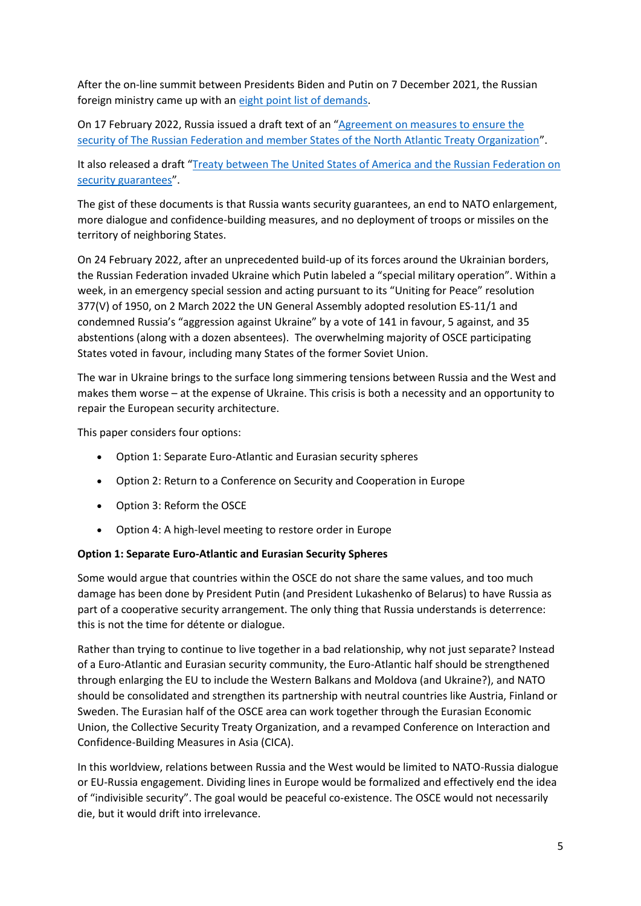After the on-line summit between Presidents Biden and Putin on 7 December 2021, the Russian foreign ministry came up with an [eight point list of demands.](https://russiaeu.ru/en/news/russian-foreign-ministry-statement-dialogue-united-states-and-other-western-countries)

On 17 February 2022, Russia issued a draft text of an "[Agreement on measures to ensure the](https://mid.ru/ru/foreign_policy/rso/nato/1790803/?lang=en&clear_cache=Y)  [security of The Russian Federation and member States of the North Atlantic Treaty Organization](https://mid.ru/ru/foreign_policy/rso/nato/1790803/?lang=en&clear_cache=Y)".

It also released a draft "[Treaty between The United States of America and the Russian Federation on](https://mid.ru/ru/foreign_policy/rso/nato/1790818/?lang=en)  [security guarantees](https://mid.ru/ru/foreign_policy/rso/nato/1790818/?lang=en)".

The gist of these documents is that Russia wants security guarantees, an end to NATO enlargement, more dialogue and confidence-building measures, and no deployment of troops or missiles on the territory of neighboring States.

On 24 February 2022, after an unprecedented build-up of its forces around the Ukrainian borders, the Russian Federation invaded Ukraine which Putin labeled a "special military operation". Within a week, in an emergency special session and acting pursuant to its "Uniting for Peace" resolution 377(V) of 1950, on 2 March 2022 the UN General Assembly adopted resolution ES-11/1 and condemned Russia's "aggression against Ukraine" by a vote of 141 in favour, 5 against, and 35 abstentions (along with a dozen absentees). The overwhelming majority of OSCE participating States voted in favour, including many States of the former Soviet Union.

The war in Ukraine brings to the surface long simmering tensions between Russia and the West and makes them worse – at the expense of Ukraine. This crisis is both a necessity and an opportunity to repair the European security architecture.

This paper considers four options:

- Option 1: Separate Euro-Atlantic and Eurasian security spheres
- Option 2: Return to a Conference on Security and Cooperation in Europe
- Option 3: Reform the OSCE
- Option 4: A high-level meeting to restore order in Europe

#### **Option 1: Separate Euro-Atlantic and Eurasian Security Spheres**

Some would argue that countries within the OSCE do not share the same values, and too much damage has been done by President Putin (and President Lukashenko of Belarus) to have Russia as part of a cooperative security arrangement. The only thing that Russia understands is deterrence: this is not the time for détente or dialogue.

Rather than trying to continue to live together in a bad relationship, why not just separate? Instead of a Euro-Atlantic and Eurasian security community, the Euro-Atlantic half should be strengthened through enlarging the EU to include the Western Balkans and Moldova (and Ukraine?), and NATO should be consolidated and strengthen its partnership with neutral countries like Austria, Finland or Sweden. The Eurasian half of the OSCE area can work together through the Eurasian Economic Union, the Collective Security Treaty Organization, and a revamped Conference on Interaction and Confidence-Building Measures in Asia (CICA).

In this worldview, relations between Russia and the West would be limited to NATO-Russia dialogue or EU-Russia engagement. Dividing lines in Europe would be formalized and effectively end the idea of "indivisible security". The goal would be peaceful co-existence. The OSCE would not necessarily die, but it would drift into irrelevance.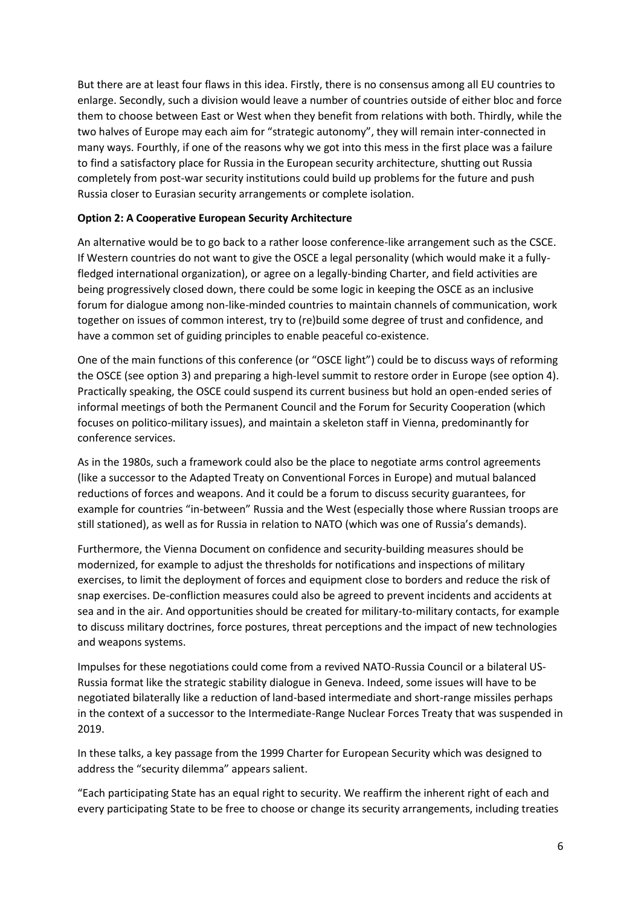But there are at least four flaws in this idea. Firstly, there is no consensus among all EU countries to enlarge. Secondly, such a division would leave a number of countries outside of either bloc and force them to choose between East or West when they benefit from relations with both. Thirdly, while the two halves of Europe may each aim for "strategic autonomy", they will remain inter-connected in many ways. Fourthly, if one of the reasons why we got into this mess in the first place was a failure to find a satisfactory place for Russia in the European security architecture, shutting out Russia completely from post-war security institutions could build up problems for the future and push Russia closer to Eurasian security arrangements or complete isolation.

### **Option 2: A Cooperative European Security Architecture**

An alternative would be to go back to a rather loose conference-like arrangement such as the CSCE. If Western countries do not want to give the OSCE a legal personality (which would make it a fullyfledged international organization), or agree on a legally-binding Charter, and field activities are being progressively closed down, there could be some logic in keeping the OSCE as an inclusive forum for dialogue among non-like-minded countries to maintain channels of communication, work together on issues of common interest, try to (re)build some degree of trust and confidence, and have a common set of guiding principles to enable peaceful co-existence.

One of the main functions of this conference (or "OSCE light") could be to discuss ways of reforming the OSCE (see option 3) and preparing a high-level summit to restore order in Europe (see option 4). Practically speaking, the OSCE could suspend its current business but hold an open-ended series of informal meetings of both the Permanent Council and the Forum for Security Cooperation (which focuses on politico-military issues), and maintain a skeleton staff in Vienna, predominantly for conference services.

As in the 1980s, such a framework could also be the place to negotiate arms control agreements (like a successor to the Adapted Treaty on Conventional Forces in Europe) and mutual balanced reductions of forces and weapons. And it could be a forum to discuss security guarantees, for example for countries "in-between" Russia and the West (especially those where Russian troops are still stationed), as well as for Russia in relation to NATO (which was one of Russia's demands).

Furthermore, the Vienna Document on confidence and security-building measures should be modernized, for example to adjust the thresholds for notifications and inspections of military exercises, to limit the deployment of forces and equipment close to borders and reduce the risk of snap exercises. De-confliction measures could also be agreed to prevent incidents and accidents at sea and in the air. And opportunities should be created for military-to-military contacts, for example to discuss military doctrines, force postures, threat perceptions and the impact of new technologies and weapons systems.

Impulses for these negotiations could come from a revived NATO-Russia Council or a bilateral US-Russia format like the strategic stability dialogue in Geneva. Indeed, some issues will have to be negotiated bilaterally like a reduction of land-based intermediate and short-range missiles perhaps in the context of a successor to the Intermediate-Range Nuclear Forces Treaty that was suspended in 2019.

In these talks, a key passage from the 1999 Charter for European Security which was designed to address the "security dilemma" appears salient.

"Each participating State has an equal right to security. We reaffirm the inherent right of each and every participating State to be free to choose or change its security arrangements, including treaties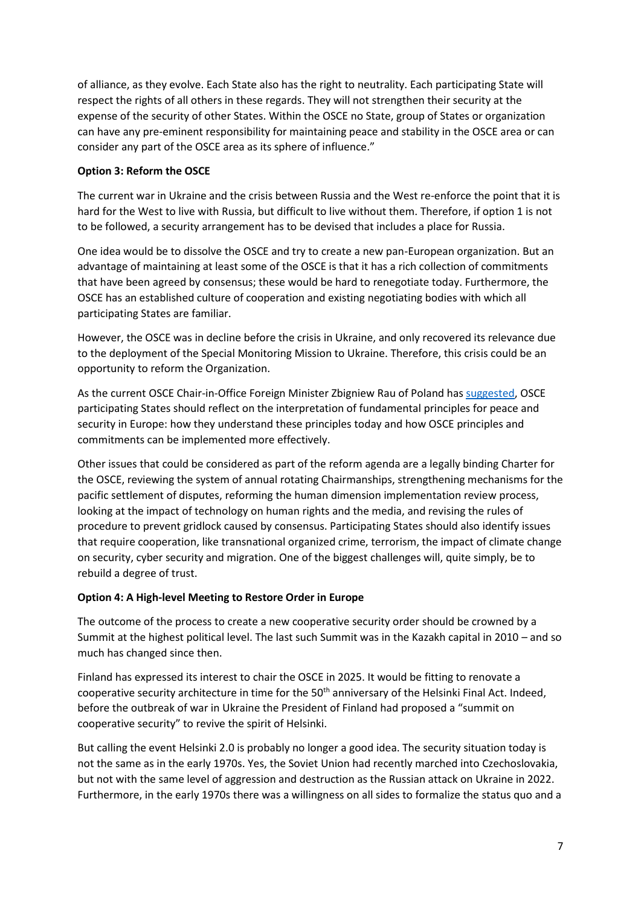of alliance, as they evolve. Each State also has the right to neutrality. Each participating State will respect the rights of all others in these regards. They will not strengthen their security at the expense of the security of other States. Within the OSCE no State, group of States or organization can have any pre-eminent responsibility for maintaining peace and stability in the OSCE area or can consider any part of the OSCE area as its sphere of influence."

# **Option 3: Reform the OSCE**

The current war in Ukraine and the crisis between Russia and the West re-enforce the point that it is hard for the West to live with Russia, but difficult to live without them. Therefore, if option 1 is not to be followed, a security arrangement has to be devised that includes a place for Russia.

One idea would be to dissolve the OSCE and try to create a new pan-European organization. But an advantage of maintaining at least some of the OSCE is that it has a rich collection of commitments that have been agreed by consensus; these would be hard to renegotiate today. Furthermore, the OSCE has an established culture of cooperation and existing negotiating bodies with which all participating States are familiar.

However, the OSCE was in decline before the crisis in Ukraine, and only recovered its relevance due to the deployment of the Special Monitoring Mission to Ukraine. Therefore, this crisis could be an opportunity to reform the Organization.

As the current OSCE Chair-in-Office Foreign Minister Zbigniew Rau of Poland has [suggested,](https://www.gov.pl/web/diplomacy/minister-zbigniew-rau-inaugurates-renewed-osce-european-security-dialogue-in-vienna) OSCE participating States should reflect on the interpretation of fundamental principles for peace and security in Europe: how they understand these principles today and how OSCE principles and commitments can be implemented more effectively.

Other issues that could be considered as part of the reform agenda are a legally binding Charter for the OSCE, reviewing the system of annual rotating Chairmanships, strengthening mechanisms for the pacific settlement of disputes, reforming the human dimension implementation review process, looking at the impact of technology on human rights and the media, and revising the rules of procedure to prevent gridlock caused by consensus. Participating States should also identify issues that require cooperation, like transnational organized crime, terrorism, the impact of climate change on security, cyber security and migration. One of the biggest challenges will, quite simply, be to rebuild a degree of trust.

#### **Option 4: A High-level Meeting to Restore Order in Europe**

The outcome of the process to create a new cooperative security order should be crowned by a Summit at the highest political level. The last such Summit was in the Kazakh capital in 2010 – and so much has changed since then.

Finland has expressed its interest to chair the OSCE in 2025. It would be fitting to renovate a cooperative security architecture in time for the 50<sup>th</sup> anniversary of the Helsinki Final Act. Indeed, before the outbreak of war in Ukraine the President of Finland had proposed a "summit on cooperative security" to revive the spirit of Helsinki.

But calling the event Helsinki 2.0 is probably no longer a good idea. The security situation today is not the same as in the early 1970s. Yes, the Soviet Union had recently marched into Czechoslovakia, but not with the same level of aggression and destruction as the Russian attack on Ukraine in 2022. Furthermore, in the early 1970s there was a willingness on all sides to formalize the status quo and a